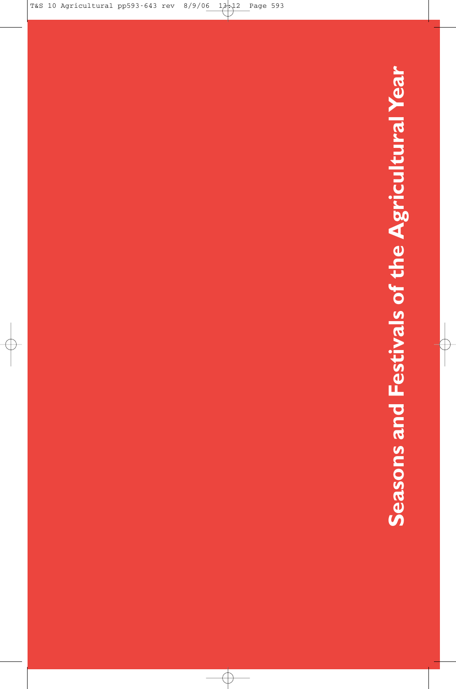# Seasons and Festivals of the Agricultural Year **Seasons and Festivals of the Agricultural Year**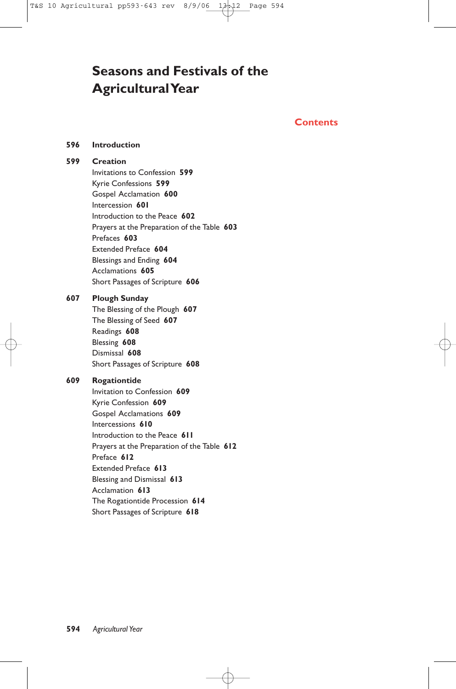# **Seasons and Festivals of the Agricultural Year**

#### **Contents**

#### **596 Introduction**

#### **599 Creation**

Invitations to Confession **599** Kyrie Confessions **599** Gospel Acclamation **600** Intercession **601** Introduction to the Peace **602** Prayers at the Preparation of the Table **603** Prefaces **603** Extended Preface **604** Blessings and Ending **604** Acclamations **605** Short Passages of Scripture **606**

#### **607 Plough Sunday**

The Blessing of the Plough **607** The Blessing of Seed **607** Readings **608** Blessing **608** Dismissal **608** Short Passages of Scripture **608**

#### **609 Rogationtide**

Invitation to Confession **609** Kyrie Confession **609** Gospel Acclamations **609** Intercessions **610** Introduction to the Peace **611** Prayers at the Preparation of the Table **612** Preface **612** Extended Preface **613** Blessing and Dismissal **613** Acclamation **613** The Rogationtide Procession **614** Short Passages of Scripture **618**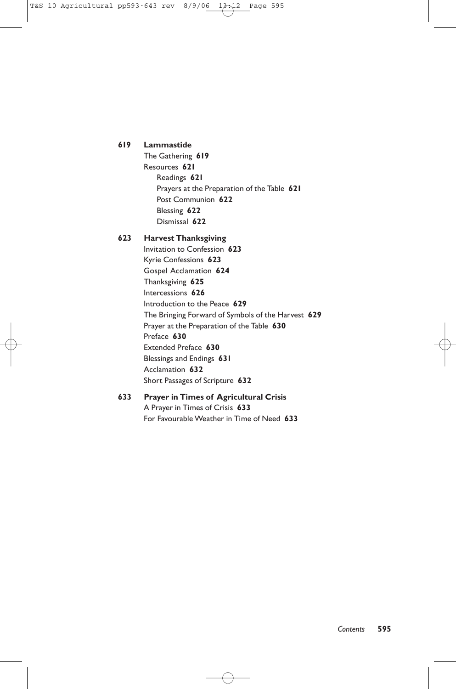#### **619 Lammastide**

The Gathering **619** Resources **621** Readings **621** Prayers at the Preparation of the Table **621** Post Communion **622** Blessing **622** Dismissal **622**

#### **623 Harvest Thanksgiving**

Invitation to Confession **623** Kyrie Confessions **623** Gospel Acclamation **624** Thanksgiving **625** Intercessions **626** Introduction to the Peace **629** The Bringing Forward of Symbols of the Harvest **629** Prayer at the Preparation of the Table **630** Preface **630** Extended Preface **630** Blessings and Endings **631** Acclamation **632** Short Passages of Scripture **632**

#### **633 Prayer in Times of Agricultural Crisis** A Prayer in Times of Crisis **633** For Favourable Weather in Time of Need **633**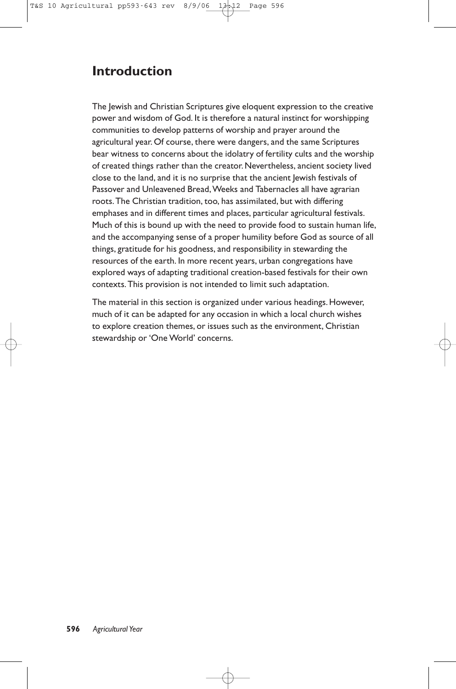## **Introduction**

The Jewish and Christian Scriptures give eloquent expression to the creative power and wisdom of God. It is therefore a natural instinct for worshipping communities to develop patterns of worship and prayer around the agricultural year. Of course, there were dangers, and the same Scriptures bear witness to concerns about the idolatry of fertility cults and the worship of created things rather than the creator. Nevertheless, ancient society lived close to the land, and it is no surprise that the ancient Jewish festivals of Passover and Unleavened Bread, Weeks and Tabernacles all have agrarian roots.The Christian tradition, too, has assimilated, but with differing emphases and in different times and places, particular agricultural festivals. Much of this is bound up with the need to provide food to sustain human life, and the accompanying sense of a proper humility before God as source of all things, gratitude for his goodness, and responsibility in stewarding the resources of the earth. In more recent years, urban congregations have explored ways of adapting traditional creation-based festivals for their own contexts.This provision is not intended to limit such adaptation.

The material in this section is organized under various headings. However, much of it can be adapted for any occasion in which a local church wishes to explore creation themes, or issues such as the environment, Christian stewardship or 'One World' concerns.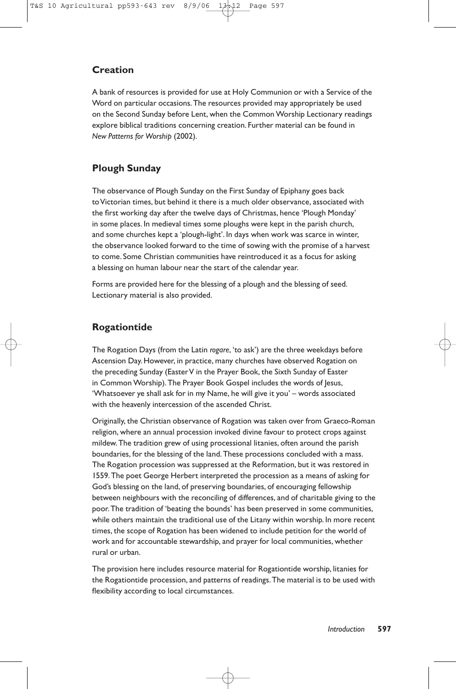#### **Creation**

A bank of resources is provided for use at Holy Communion or with a Service of the Word on particular occasions.The resources provided may appropriately be used on the Second Sunday before Lent, when the Common Worship Lectionary readings explore biblical traditions concerning creation. Further material can be found in *New Patterns for Worship* (2002).

#### **Plough Sunday**

The observance of Plough Sunday on the First Sunday of Epiphany goes back to Victorian times, but behind it there is a much older observance, associated with the first working day after the twelve days of Christmas, hence 'Plough Monday' in some places. In medieval times some ploughs were kept in the parish church, and some churches kept a 'plough-light'. In days when work was scarce in winter, the observance looked forward to the time of sowing with the promise of a harvest to come. Some Christian communities have reintroduced it as a focus for asking a blessing on human labour near the start of the calendar year.

Forms are provided here for the blessing of a plough and the blessing of seed. Lectionary material is also provided.

#### **Rogationtide**

The Rogation Days (from the Latin *rogare*, 'to ask') are the three weekdays before Ascension Day. However, in practice, many churches have observed Rogation on the preceding Sunday (EasterV in the Prayer Book, the Sixth Sunday of Easter in Common Worship).The Prayer Book Gospel includes the words of Jesus, 'Whatsoever ye shall ask for in my Name, he will give it you' – words associated with the heavenly intercession of the ascended Christ.

Originally, the Christian observance of Rogation was taken over from Graeco-Roman religion, where an annual procession invoked divine favour to protect crops against mildew.The tradition grew of using processional litanies, often around the parish boundaries, for the blessing of the land.These processions concluded with a mass. The Rogation procession was suppressed at the Reformation, but it was restored in 1559.The poet George Herbert interpreted the procession as a means of asking for God's blessing on the land, of preserving boundaries, of encouraging fellowship between neighbours with the reconciling of differences, and of charitable giving to the poor.The tradition of 'beating the bounds' has been preserved in some communities, while others maintain the traditional use of the Litany within worship. In more recent times, the scope of Rogation has been widened to include petition for the world of work and for accountable stewardship, and prayer for local communities, whether rural or urban.

The provision here includes resource material for Rogationtide worship, litanies for the Rogationtide procession, and patterns of readings.The material is to be used with flexibility according to local circumstances.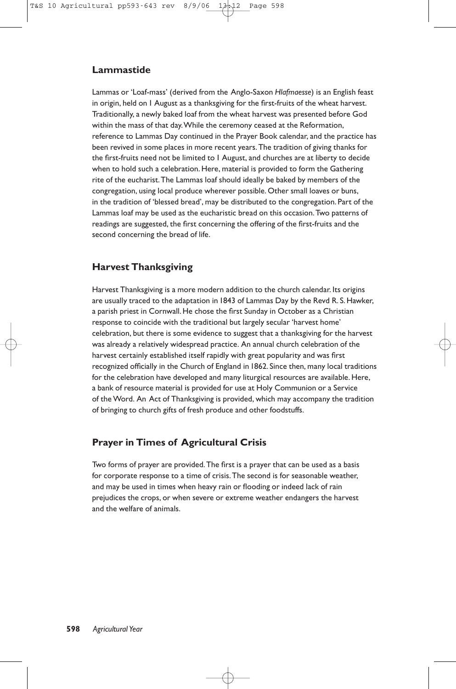#### **Lammastide**

Lammas or 'Loaf-mass' (derived from the Anglo-Saxon *Hlafmaesse*) is an English feast in origin, held on 1 August as a thanksgiving for the first-fruits of the wheat harvest. Traditionally, a newly baked loaf from the wheat harvest was presented before God within the mass of that day.While the ceremony ceased at the Reformation, reference to Lammas Day continued in the Prayer Book calendar, and the practice has been revived in some places in more recent years.The tradition of giving thanks for the first-fruits need not be limited to 1 August, and churches are at liberty to decide when to hold such a celebration. Here, material is provided to form the Gathering rite of the eucharist.The Lammas loaf should ideally be baked by members of the congregation, using local produce wherever possible. Other small loaves or buns, in the tradition of 'blessed bread', may be distributed to the congregation. Part of the Lammas loaf may be used as the eucharistic bread on this occasion.Two patterns of readings are suggested, the first concerning the offering of the first-fruits and the second concerning the bread of life.

#### **Harvest Thanksgiving**

Harvest Thanksgiving is a more modern addition to the church calendar. Its origins are usually traced to the adaptation in 1843 of Lammas Day by the Revd R. S. Hawker, a parish priest in Cornwall. He chose the first Sunday in October as a Christian response to coincide with the traditional but largely secular 'harvest home' celebration, but there is some evidence to suggest that a thanksgiving for the harvest was already a relatively widespread practice. An annual church celebration of the harvest certainly established itself rapidly with great popularity and was first recognized officially in the Church of England in 1862. Since then, many local traditions for the celebration have developed and many liturgical resources are available. Here, a bank of resource material is provided for use at Holy Communion or a Service of the Word. An Act of Thanksgiving is provided, which may accompany the tradition of bringing to church gifts of fresh produce and other foodstuffs.

#### **Prayer in Times of Agricultural Crisis**

Two forms of prayer are provided.The first is a prayer that can be used as a basis for corporate response to a time of crisis.The second is for seasonable weather, and may be used in times when heavy rain or flooding or indeed lack of rain prejudices the crops, or when severe or extreme weather endangers the harvest and the welfare of animals.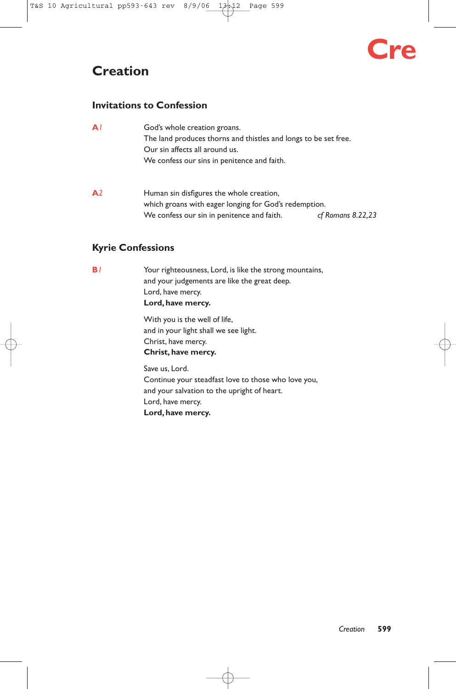# **Creation**

# **Cre**

#### **Invitations to Confession**

| $\mathbf{A}$   | God's whole creation groans.<br>The land produces thorns and thistles and longs to be set free.<br>Our sin affects all around us.<br>We confess our sins in penitence and faith. |                     |
|----------------|----------------------------------------------------------------------------------------------------------------------------------------------------------------------------------|---------------------|
| A <sub>2</sub> | Human sin disfigures the whole creation,<br>which groans with eager longing for God's redemption.<br>We confess our sin in penitence and faith.                                  | $cf$ Romans 8.22,23 |

#### **Kyrie Confessions**

**B***1* Your righteousness, Lord, is like the strong mountains, and your judgements are like the great deep. Lord, have mercy. **Lord, have mercy.**

> With you is the well of life, and in your light shall we see light. Christ, have mercy. **Christ, have mercy.**

Save us, Lord. Continue your steadfast love to those who love you, and your salvation to the upright of heart. Lord, have mercy. **Lord, have mercy.**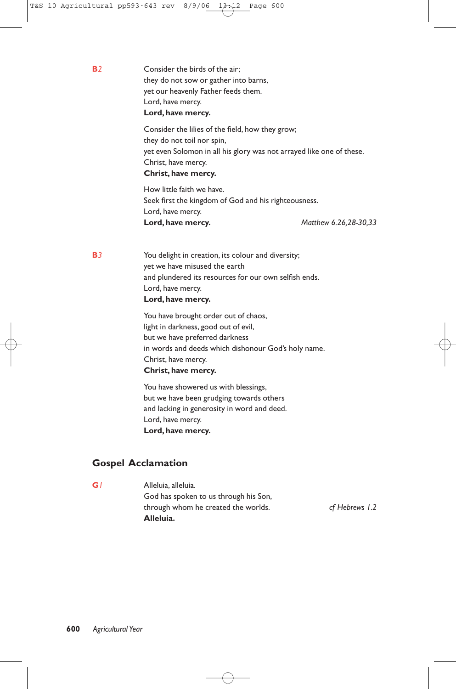**B**<sup>2</sup> Consider the birds of the air: they do not sow or gather into barns, yet our heavenly Father feeds them. Lord, have mercy. **Lord, have mercy.**

> Consider the lilies of the field, how they grow; they do not toil nor spin, yet even Solomon in all his glory was not arrayed like one of these. Christ, have mercy. **Christ, have mercy.**

How little faith we have. Seek first the kingdom of God and his righteousness. Lord, have mercy. **Lord, have mercy.** *Matthew 6.26,28-30,33*

**B***3* You delight in creation, its colour and diversity; yet we have misused the earth and plundered its resources for our own selfish ends. Lord, have mercy. **Lord, have mercy.**

> You have brought order out of chaos, light in darkness, good out of evil, but we have preferred darkness in words and deeds which dishonour God's holy name. Christ, have mercy. **Christ, have mercy.**

You have showered us with blessings, but we have been grudging towards others and lacking in generosity in word and deed. Lord, have mercy. **Lord, have mercy.**

#### **Gospel Acclamation**

**G***1* Alleluia, alleluia. God has spoken to us through his Son, through whom he created the worlds. *cf Hebrews 1.2* **Alleluia.**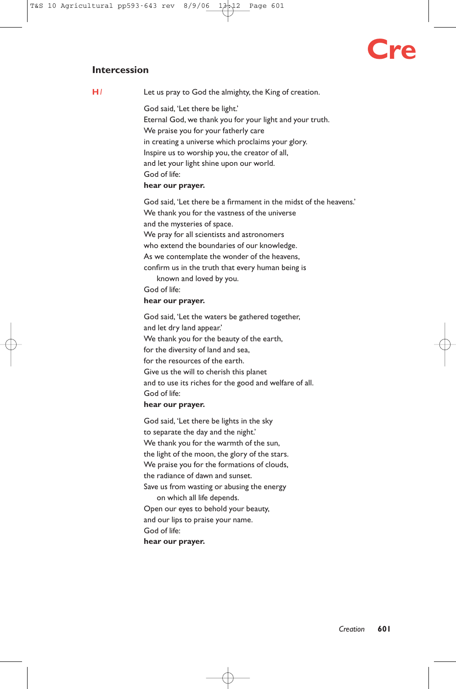# **Cre**

#### **Intercession**

**H***1* Let us pray to God the almighty, the King of creation.

God said, 'Let there be light.' Eternal God, we thank you for your light and your truth. We praise you for your fatherly care in creating a universe which proclaims your glory. Inspire us to worship you, the creator of all, and let your light shine upon our world. God of life: **hear our prayer.**

God said, 'Let there be a firmament in the midst of the heavens.' We thank you for the vastness of the universe and the mysteries of space. We pray for all scientists and astronomers who extend the boundaries of our knowledge. As we contemplate the wonder of the heavens, confirm us in the truth that every human being is known and loved by you. God of life:

#### **hear our prayer.**

God said, 'Let the waters be gathered together, and let dry land appear.' We thank you for the beauty of the earth, for the diversity of land and sea, for the resources of the earth. Give us the will to cherish this planet and to use its riches for the good and welfare of all. God of life:

#### **hear our prayer.**

God said, 'Let there be lights in the sky to separate the day and the night.' We thank you for the warmth of the sun, the light of the moon, the glory of the stars. We praise you for the formations of clouds, the radiance of dawn and sunset. Save us from wasting or abusing the energy on which all life depends. Open our eyes to behold your beauty, and our lips to praise your name. God of life: **hear our prayer.**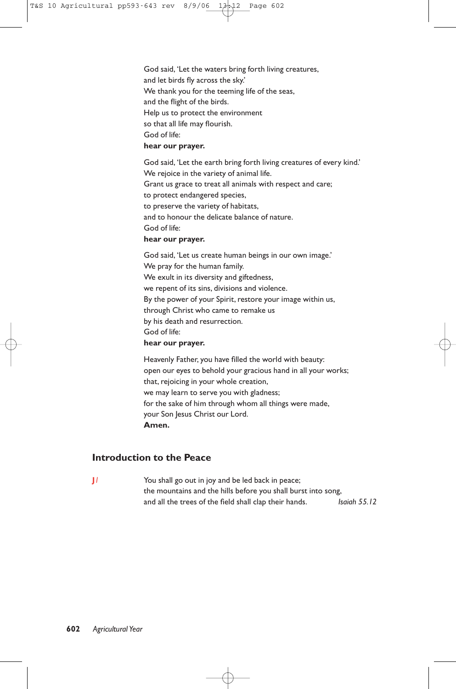God said, 'Let the waters bring forth living creatures, and let birds fly across the sky.' We thank you for the teeming life of the seas, and the flight of the birds. Help us to protect the environment so that all life may flourish. God of life:

#### **hear our prayer.**

God said, 'Let the earth bring forth living creatures of every kind.' We rejoice in the variety of animal life. Grant us grace to treat all animals with respect and care; to protect endangered species, to preserve the variety of habitats, and to honour the delicate balance of nature. God of life:

#### **hear our prayer.**

God said, 'Let us create human beings in our own image.' We pray for the human family. We exult in its diversity and giftedness, we repent of its sins, divisions and violence. By the power of your Spirit, restore your image within us, through Christ who came to remake us by his death and resurrection. God of life:

#### **hear our prayer.**

Heavenly Father, you have filled the world with beauty: open our eyes to behold your gracious hand in all your works; that, rejoicing in your whole creation, we may learn to serve you with gladness; for the sake of him through whom all things were made, your Son Jesus Christ our Lord. **Amen.**

#### **Introduction to the Peace**

**J***1* You shall go out in joy and be led back in peace; the mountains and the hills before you shall burst into song, and all the trees of the field shall clap their hands. *Isaiah 55.12*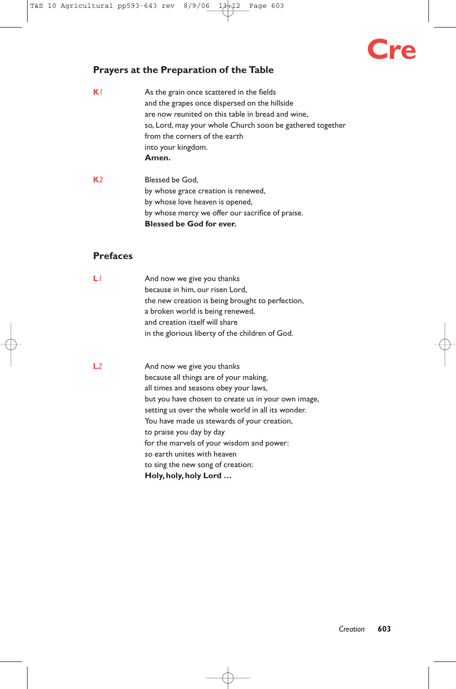# **Cre**

#### **Prayers at the Preparation of the Table**

- **K***1* As the grain once scattered in the fields and the grapes once dispersed on the hillside are now reunited on this table in bread and wine, so, Lord, may your whole Church soon be gathered together from the corners of the earth into your kingdom. **Amen.**
- **K***2* Blessed be God, by whose grace creation is renewed, by whose love heaven is opened, by whose mercy we offer our sacrifice of praise. **Blessed be God for ever.**

#### **Prefaces**

- **L***l* And now we give you thanks because in him, our risen Lord, the new creation is being brought to perfection, a broken world is being renewed, and creation itself will share in the glorious liberty of the children of God.
- **L**2 And now we give you thanks because all things are of your making, all times and seasons obey your laws, but you have chosen to create us in your own image, setting us over the whole world in all its wonder. You have made us stewards of your creation, to praise you day by day for the marvels of your wisdom and power: so earth unites with heaven to sing the new song of creation: **Holy, holy, holy Lord …**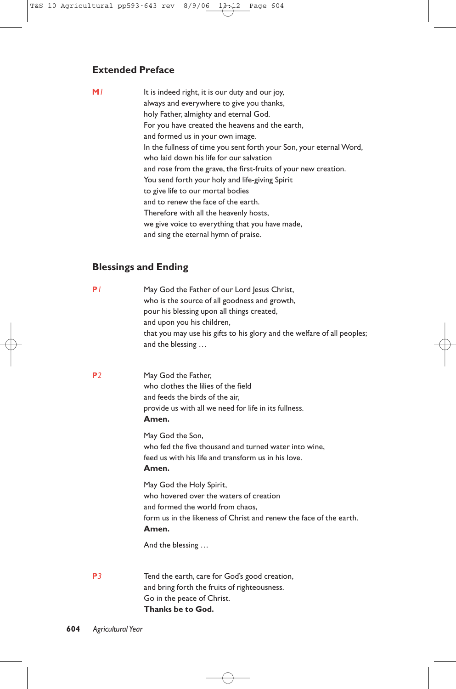#### **Extended Preface**

**M***1* It is indeed right, it is our duty and our joy, always and everywhere to give you thanks, holy Father, almighty and eternal God. For you have created the heavens and the earth, and formed us in your own image. In the fullness of time you sent forth your Son, your eternal Word, who laid down his life for our salvation and rose from the grave, the first-fruits of your new creation. You send forth your holy and life-giving Spirit to give life to our mortal bodies and to renew the face of the earth. Therefore with all the heavenly hosts, we give voice to everything that you have made, and sing the eternal hymn of praise.

#### **Blessings and Ending**

| P/             | May God the Father of our Lord Jesus Christ,<br>who is the source of all goodness and growth,<br>pour his blessing upon all things created,<br>and upon you his children,<br>that you may use his gifts to his glory and the welfare of all peoples;<br>and the blessing |
|----------------|--------------------------------------------------------------------------------------------------------------------------------------------------------------------------------------------------------------------------------------------------------------------------|
| P <sub>2</sub> | May God the Father,<br>who clothes the lilies of the field<br>and feeds the birds of the air.<br>provide us with all we need for life in its fullness.<br>Amen.                                                                                                          |
|                | May God the Son,<br>who fed the five thousand and turned water into wine,<br>feed us with his life and transform us in his love.<br>Amen.                                                                                                                                |
|                | May God the Holy Spirit,<br>who hovered over the waters of creation<br>and formed the world from chaos.<br>form us in the likeness of Christ and renew the face of the earth.<br>Amen.                                                                                   |
|                | And the blessing                                                                                                                                                                                                                                                         |
| P3             | Tend the earth, care for God's good creation,<br>and bring forth the fruits of righteousness.                                                                                                                                                                            |

Go in the peace of Christ. **Thanks be to God.**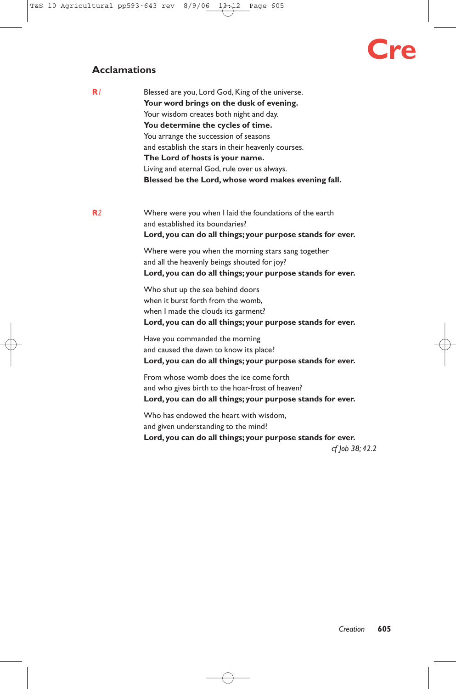# **Cre**

#### **Acclamations**

| R/             | Blessed are you, Lord God, King of the universe.<br>Your word brings on the dusk of evening.<br>Your wisdom creates both night and day.<br>You determine the cycles of time.<br>You arrange the succession of seasons<br>and establish the stars in their heavenly courses.<br>The Lord of hosts is your name.<br>Living and eternal God, rule over us always.<br>Blessed be the Lord, whose word makes evening fall. |
|----------------|-----------------------------------------------------------------------------------------------------------------------------------------------------------------------------------------------------------------------------------------------------------------------------------------------------------------------------------------------------------------------------------------------------------------------|
| R <sub>2</sub> | Where were you when I laid the foundations of the earth<br>and established its boundaries?<br>Lord, you can do all things; your purpose stands for ever.<br>Where were you when the morning stars sang together<br>and all the heavenly beings shouted for joy?<br>Lord, you can do all things; your purpose stands for ever.                                                                                         |
|                | Who shut up the sea behind doors<br>when it burst forth from the womb.<br>when I made the clouds its garment?<br>Lord, you can do all things; your purpose stands for ever.                                                                                                                                                                                                                                           |
|                | Have you commanded the morning<br>and caused the dawn to know its place?<br>Lord, you can do all things; your purpose stands for ever.                                                                                                                                                                                                                                                                                |
|                | From whose womb does the ice come forth<br>and who gives birth to the hoar-frost of heaven?<br>Lord, you can do all things; your purpose stands for ever.                                                                                                                                                                                                                                                             |
|                | Who has endowed the heart with wisdom.                                                                                                                                                                                                                                                                                                                                                                                |

and given understanding to the mind? **Lord, you can do all things; your purpose stands for ever.** *cf Job 38; 42.2*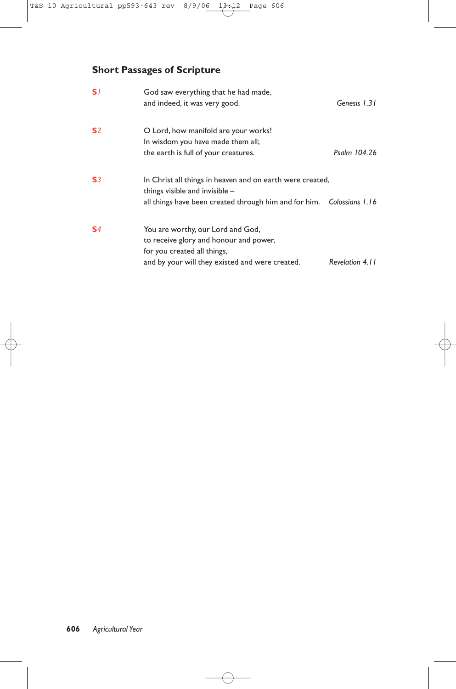## **Short Passages of Scripture**

| S/             | God saw everything that he had made,<br>and indeed, it was very good.                                                                                                | Genesis 1.31    |
|----------------|----------------------------------------------------------------------------------------------------------------------------------------------------------------------|-----------------|
| S <sub>2</sub> | O Lord, how manifold are your works!<br>In wisdom you have made them all;<br>the earth is full of your creatures.                                                    | Psalm 104.26    |
| S <sub>3</sub> | In Christ all things in heaven and on earth were created,<br>things visible and invisible -<br>all things have been created through him and for him. Colossians 1.16 |                 |
| S <sub>4</sub> | You are worthy, our Lord and God,<br>to receive glory and honour and power,<br>for you created all things,<br>and by your will they existed and were created.        | Revelation 4.11 |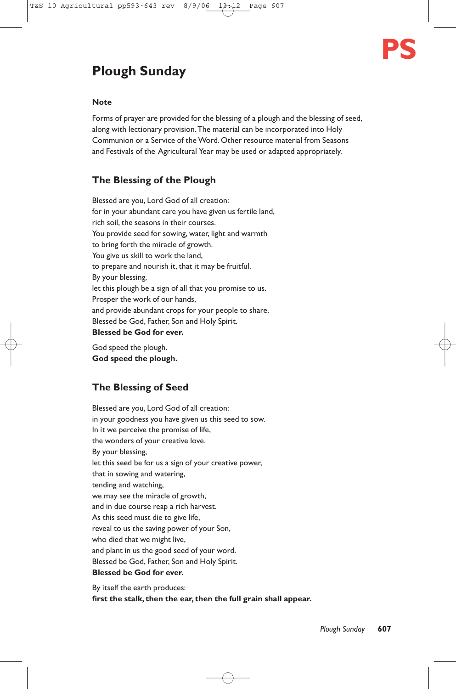

# **Plough Sunday**

#### **Note**

Forms of prayer are provided for the blessing of a plough and the blessing of seed, along with lectionary provision.The material can be incorporated into Holy Communion or a Service of the Word. Other resource material from Seasons and Festivals of the Agricultural Year may be used or adapted appropriately.

#### **The Blessing of the Plough**

Blessed are you, Lord God of all creation: for in your abundant care you have given us fertile land, rich soil, the seasons in their courses. You provide seed for sowing, water, light and warmth to bring forth the miracle of growth. You give us skill to work the land, to prepare and nourish it, that it may be fruitful. By your blessing, let this plough be a sign of all that you promise to us. Prosper the work of our hands, and provide abundant crops for your people to share. Blessed be God, Father, Son and Holy Spirit. **Blessed be God for ever.**

God speed the plough. **God speed the plough.**

#### **The Blessing of Seed**

Blessed are you, Lord God of all creation: in your goodness you have given us this seed to sow. In it we perceive the promise of life, the wonders of your creative love. By your blessing, let this seed be for us a sign of your creative power, that in sowing and watering, tending and watching, we may see the miracle of growth, and in due course reap a rich harvest. As this seed must die to give life, reveal to us the saving power of your Son, who died that we might live, and plant in us the good seed of your word. Blessed be God, Father, Son and Holy Spirit. **Blessed be God for ever.**

By itself the earth produces: **first the stalk, then the ear, then the full grain shall appear.**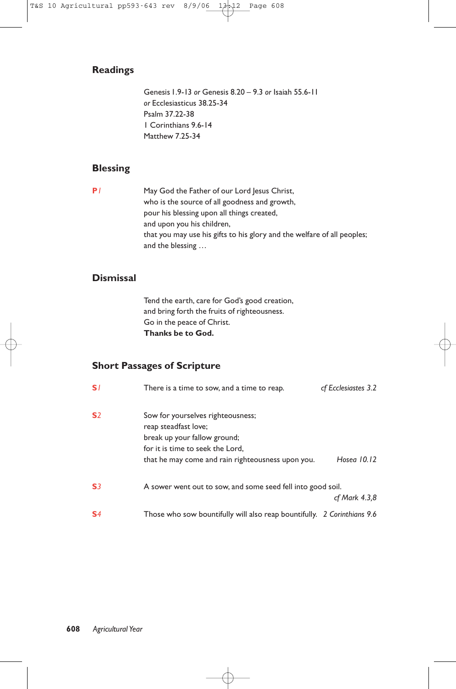#### **Readings**

Genesis 1.9-13 *or* Genesis 8.20 – 9.3 *or* Isaiah 55.6-11 *or* Ecclesiasticus 38.25-34 Psalm 37.22-38 1 Corinthians 9.6-14 Matthew 7.25-34

#### **Blessing**

**P***1* May God the Father of our Lord Jesus Christ, who is the source of all goodness and growth, pour his blessing upon all things created, and upon you his children, that you may use his gifts to his glory and the welfare of all peoples; and the blessing …

#### **Dismissal**

Tend the earth, care for God's good creation, and bring forth the fruits of righteousness. Go in the peace of Christ. **Thanks be to God.**

#### **Short Passages of Scripture**

| S <sub>1</sub> | There is a time to sow, and a time to reap.                                                                                                                                        | cf Ecclesiastes 3.2 |
|----------------|------------------------------------------------------------------------------------------------------------------------------------------------------------------------------------|---------------------|
| S <sub>2</sub> | Sow for yourselves righteousness;<br>reap steadfast love;<br>break up your fallow ground;<br>for it is time to seek the Lord,<br>that he may come and rain righteousness upon you. | Hosea 10.12         |
| S <sub>3</sub> | A sower went out to sow, and some seed fell into good soil.                                                                                                                        | cf Mark 4.3,8       |
| S <sub>4</sub> | Those who sow bountifully will also reap bountifully. 2 Corinthians 9.6                                                                                                            |                     |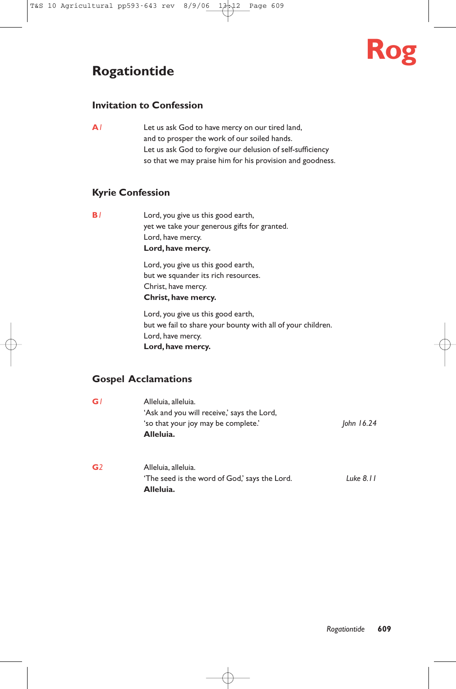## **Rogationtide**

# **Rog**

#### **Invitation to Confession**

**A***1* Let us ask God to have mercy on our tired land, and to prosper the work of our soiled hands. Let us ask God to forgive our delusion of self-sufficiency so that we may praise him for his provision and goodness.

#### **Kyrie Confession**

**B***1* Lord, you give us this good earth, yet we take your generous gifts for granted. Lord, have mercy. **Lord, have mercy.**

> Lord, you give us this good earth, but we squander its rich resources. Christ, have mercy. **Christ, have mercy.**

Lord, you give us this good earth, but we fail to share your bounty with all of your children. Lord, have mercy. **Lord, have mercy.**

#### **Gospel Acclamations**

| G l | Alleluia, alleluia.                        |              |
|-----|--------------------------------------------|--------------|
|     | 'Ask and you will receive,' says the Lord, |              |
|     | 'so that your joy may be complete.'        | John $16.24$ |
|     | Alleluia.                                  |              |
|     |                                            |              |
|     |                                            |              |

**G***2* Alleluia, alleluia. 'The seed is the word of God,' says the Lord. *Luke 8.11* **Alleluia.**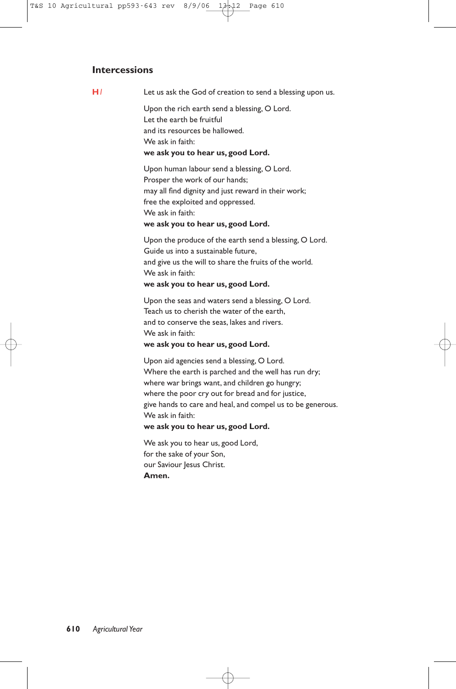#### **Intercessions**

**H***1* Let us ask the God of creation to send a blessing upon us.

Upon the rich earth send a blessing, O Lord. Let the earth be fruitful and its resources be hallowed. We ask in faith: **we ask you to hear us, good Lord.**

Upon human labour send a blessing, O Lord. Prosper the work of our hands; may all find dignity and just reward in their work; free the exploited and oppressed. We ask in faith: **we ask you to hear us, good Lord.**

Upon the produce of the earth send a blessing, O Lord. Guide us into a sustainable future, and give us the will to share the fruits of the world. We ask in faith: **we ask you to hear us, good Lord.**

Upon the seas and waters send a blessing, O Lord. Teach us to cherish the water of the earth, and to conserve the seas, lakes and rivers. We ask in faith:

#### **we ask you to hear us, good Lord.**

Upon aid agencies send a blessing, O Lord. Where the earth is parched and the well has run dry; where war brings want, and children go hungry; where the poor cry out for bread and for justice, give hands to care and heal, and compel us to be generous. We ask in faith: **we ask you to hear us, good Lord.**

We ask you to hear us, good Lord, for the sake of your Son, our Saviour Jesus Christ. **Amen.**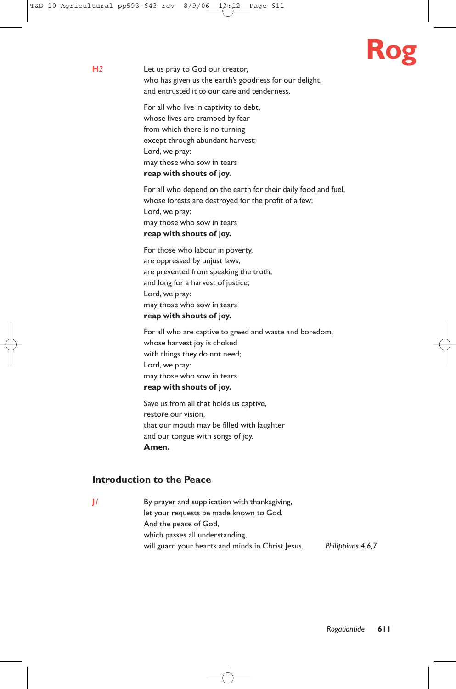

**H***2* Let us pray to God our creator, who has given us the earth's goodness for our delight, and entrusted it to our care and tenderness.

> For all who live in captivity to debt, whose lives are cramped by fear from which there is no turning except through abundant harvest; Lord, we pray: may those who sow in tears **reap with shouts of joy.**

For all who depend on the earth for their daily food and fuel, whose forests are destroyed for the profit of a few; Lord, we pray: may those who sow in tears **reap with shouts of joy.**

For those who labour in poverty, are oppressed by unjust laws, are prevented from speaking the truth, and long for a harvest of justice; Lord, we pray: may those who sow in tears **reap with shouts of joy.**

For all who are captive to greed and waste and boredom, whose harvest joy is choked with things they do not need; Lord, we pray: may those who sow in tears **reap with shouts of joy.**

Save us from all that holds us captive, restore our vision, that our mouth may be filled with laughter and our tongue with songs of joy. **Amen.**

#### **Introduction to the Peace**

**J***1* By prayer and supplication with thanksgiving, let your requests be made known to God. And the peace of God, which passes all understanding, will guard your hearts and minds in Christ Jesus. *Philippians 4.6,7*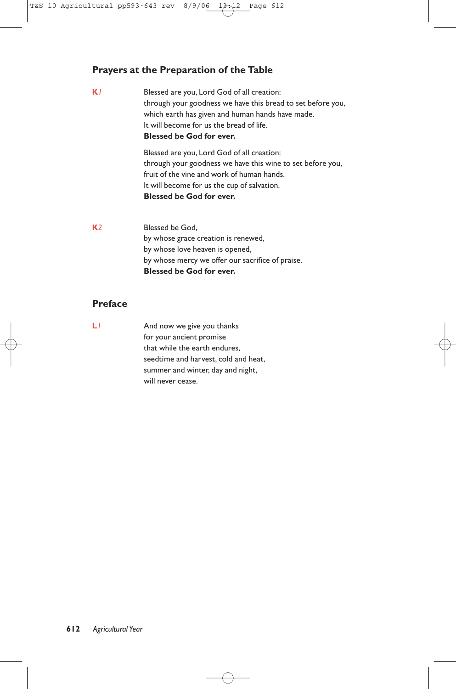#### **Prayers at the Preparation of the Table**

**K***1* Blessed are you, Lord God of all creation: through your goodness we have this bread to set before you, which earth has given and human hands have made. It will become for us the bread of life. **Blessed be God for ever.** Blessed are you, Lord God of all creation: through your goodness we have this wine to set before you,

fruit of the vine and work of human hands. It will become for us the cup of salvation. **Blessed be God for ever.**

**K***2* Blessed be God, by whose grace creation is renewed, by whose love heaven is opened, by whose mercy we offer our sacrifice of praise. **Blessed be God for ever.**

#### **Preface**

**L***1* And now we give you thanks for your ancient promise that while the earth endures, seedtime and harvest, cold and heat, summer and winter, day and night, will never cease.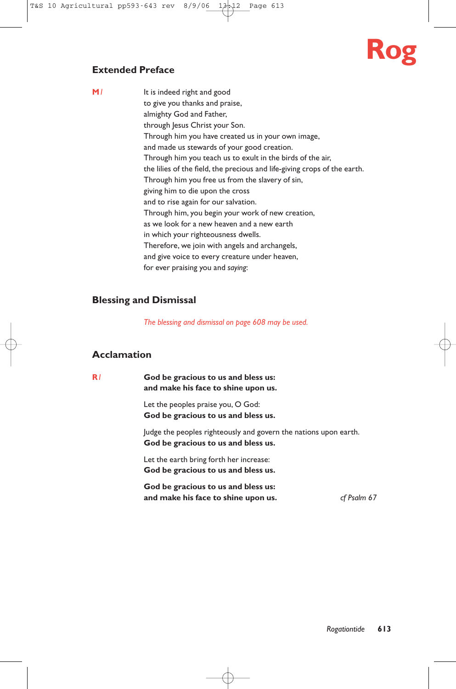# **Rog**

#### **Extended Preface**

**M**<sup>*I*</sup> It is indeed right and good to give you thanks and praise, almighty God and Father, through Jesus Christ your Son. Through him you have created us in your own image, and made us stewards of your good creation. Through him you teach us to exult in the birds of the air, the lilies of the field, the precious and life-giving crops of the earth. Through him you free us from the slavery of sin, giving him to die upon the cross and to rise again for our salvation. Through him, you begin your work of new creation, as we look for a new heaven and a new earth in which your righteousness dwells. Therefore, we join with angels and archangels, and give voice to every creature under heaven, for ever praising you and *saying*:

#### **Blessing and Dismissal**

*The blessing and dismissal on page 608 may be used.*

#### **Acclamation**

**R***1* **God be gracious to us and bless us: and make his face to shine upon us.**

> Let the peoples praise you, O God: **God be gracious to us and bless us.**

Judge the peoples righteously and govern the nations upon earth. **God be gracious to us and bless us.**

Let the earth bring forth her increase: **God be gracious to us and bless us.**

**God be gracious to us and bless us: and make his face to shine upon us.** *cf Psalm 67*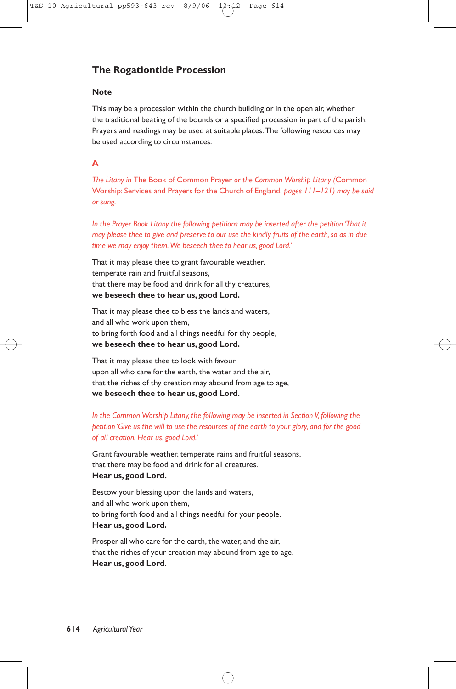#### **The Rogationtide Procession**

#### **Note**

This may be a procession within the church building or in the open air, whether the traditional beating of the bounds or a specified procession in part of the parish. Prayers and readings may be used at suitable places.The following resources may be used according to circumstances.

#### **A**

*The Litany in* The Book of Common Prayer *or the Common Worship Litany (*Common Worship: Services and Prayers for the Church of England, *pages 111–121) may be said or sung.*

*In the Prayer Book Litany the following petitions may be inserted after the petition 'That it may please thee to give and preserve to our use the kindly fruits of the earth, so as in due time we may enjoy them.We beseech thee to hear us, good Lord.'*

That it may please thee to grant favourable weather, temperate rain and fruitful seasons, that there may be food and drink for all thy creatures, **we beseech thee to hear us, good Lord.**

That it may please thee to bless the lands and waters, and all who work upon them, to bring forth food and all things needful for thy people, **we beseech thee to hear us, good Lord.**

That it may please thee to look with favour upon all who care for the earth, the water and the air, that the riches of thy creation may abound from age to age, **we beseech thee to hear us, good Lord.**

*In the Common Worship Litany, the following may be inserted in Section V, following the petition 'Give us the will to use the resources of the earth to your glory, and for the good of all creation. Hear us, good Lord.'*

Grant favourable weather, temperate rains and fruitful seasons, that there may be food and drink for all creatures. **Hear us, good Lord.**

Bestow your blessing upon the lands and waters, and all who work upon them, to bring forth food and all things needful for your people. **Hear us, good Lord.**

Prosper all who care for the earth, the water, and the air, that the riches of your creation may abound from age to age. **Hear us, good Lord.**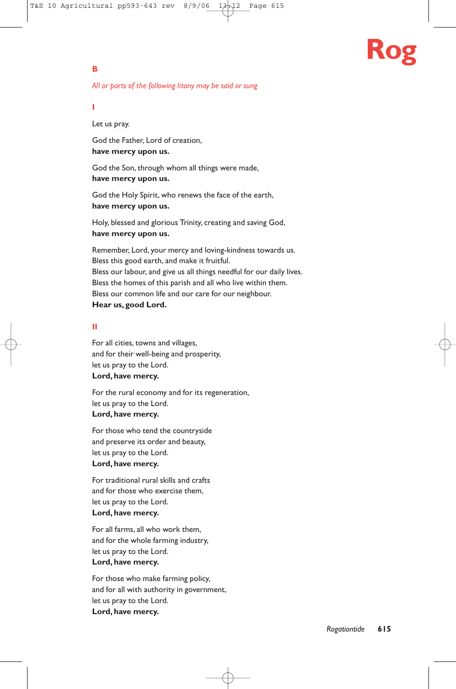# **Rog**

#### **B**

#### *All or parts of the following litany may be said or sung*

#### **I**

Let us pray.

God the Father, Lord of creation, **have mercy upon us.**

God the Son, through whom all things were made, **have mercy upon us.**

God the Holy Spirit, who renews the face of the earth, **have mercy upon us.**

Holy, blessed and glorious Trinity, creating and saving God, **have mercy upon us.**

Remember, Lord, your mercy and loving-kindness towards us. Bless this good earth, and make it fruitful. Bless our labour, and give us all things needful for our daily lives. Bless the homes of this parish and all who live within them. Bless our common life and our care for our neighbour. **Hear us, good Lord.**

#### **II**

For all cities, towns and villages, and for their well-being and prosperity, let us pray to the Lord. **Lord, have mercy.**

For the rural economy and for its regeneration, let us pray to the Lord. **Lord, have mercy.**

For those who tend the countryside and preserve its order and beauty, let us pray to the Lord. **Lord, have mercy.**

For traditional rural skills and crafts and for those who exercise them, let us pray to the Lord. **Lord, have mercy.**

For all farms, all who work them, and for the whole farming industry, let us pray to the Lord. **Lord, have mercy.**

For those who make farming policy, and for all with authority in government, let us pray to the Lord. **Lord, have mercy.**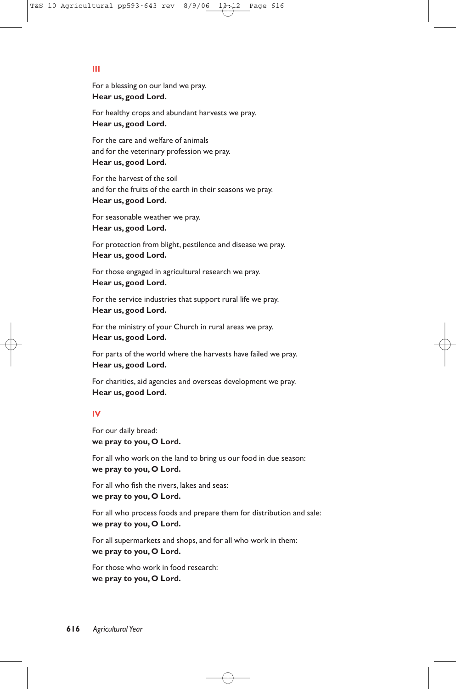#### **III**

For a blessing on our land we pray. **Hear us, good Lord.**

For healthy crops and abundant harvests we pray. **Hear us, good Lord.**

For the care and welfare of animals and for the veterinary profession we pray. **Hear us, good Lord.**

For the harvest of the soil and for the fruits of the earth in their seasons we pray. **Hear us, good Lord.**

For seasonable weather we pray. **Hear us, good Lord.**

For protection from blight, pestilence and disease we pray. **Hear us, good Lord.**

For those engaged in agricultural research we pray. **Hear us, good Lord.**

For the service industries that support rural life we pray. **Hear us, good Lord.**

For the ministry of your Church in rural areas we pray. **Hear us, good Lord.**

For parts of the world where the harvests have failed we pray. **Hear us, good Lord.**

For charities, aid agencies and overseas development we pray. **Hear us, good Lord.**

#### **IV**

For our daily bread: **we pray to you, O Lord.**

For all who work on the land to bring us our food in due season: **we pray to you, O Lord.**

For all who fish the rivers, lakes and seas: **we pray to you, O Lord.**

For all who process foods and prepare them for distribution and sale: **we pray to you, O Lord.**

For all supermarkets and shops, and for all who work in them: **we pray to you, O Lord.**

For those who work in food research: **we pray to you, O Lord.**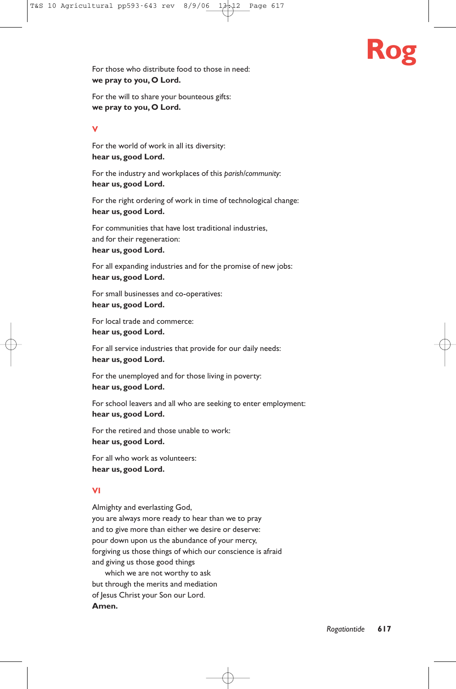

For those who distribute food to those in need: **we pray to you, O Lord.**

For the will to share your bounteous gifts: **we pray to you, O Lord.**

#### **V**

For the world of work in all its diversity: **hear us, good Lord.**

For the industry and workplaces of this *parish/community*: **hear us, good Lord.**

For the right ordering of work in time of technological change: **hear us, good Lord.**

For communities that have lost traditional industries, and for their regeneration: **hear us, good Lord.**

For all expanding industries and for the promise of new jobs: **hear us, good Lord.**

For small businesses and co-operatives: **hear us, good Lord.**

For local trade and commerce: **hear us, good Lord.**

For all service industries that provide for our daily needs: **hear us, good Lord.**

For the unemployed and for those living in poverty: **hear us, good Lord.**

For school leavers and all who are seeking to enter employment: **hear us, good Lord.**

For the retired and those unable to work: **hear us, good Lord.**

For all who work as volunteers: **hear us, good Lord.**

#### **VI**

Almighty and everlasting God, you are always more ready to hear than we to pray and to give more than either we desire or deserve: pour down upon us the abundance of your mercy, forgiving us those things of which our conscience is afraid and giving us those good things

which we are not worthy to ask but through the merits and mediation of Jesus Christ your Son our Lord. **Amen.**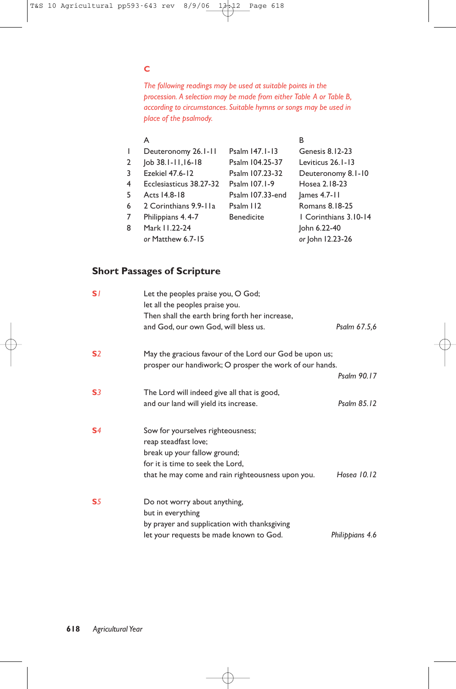#### **C**

*The following readings may be used at suitable points in the procession. A selection may be made from either Table A or Table B, according to circumstances. Suitable hymns or songs may be used in place of the psalmody.*

|              | A                       |                   | В                     |
|--------------|-------------------------|-------------------|-----------------------|
| $\mathbf{I}$ | Deuteronomy 26.1-11     | Psalm 147.1-13    | Genesis 8.12-23       |
| 2            | Job 38.1-11,16-18       | Psalm 104.25-37   | Leviticus 26.1-13     |
| 3            | Ezekiel 47.6-12         | Psalm 107.23-32   | Deuteronomy 8.1-10    |
| 4            | Ecclesiasticus 38.27-32 | Psalm 107.1-9     | Hosea 2.18-23         |
| 5.           | Acts 14.8-18            | Psalm 107.33-end  | $lames$ 4.7-11        |
| 6            | 2 Corinthians 9.9-11a   | Psalm 112         | Romans 8.18-25        |
| 7            | Philippians 4.4-7       | <b>Benedicite</b> | 1 Corinthians 3.10-14 |
| 8            | Mark 11.22-24           |                   | John 6.22-40          |
|              | or Matthew 6.7-15       |                   | or John 12.23-26      |

#### **Short Passages of Scripture**

| S/             | Let the peoples praise you, O God;<br>let all the peoples praise you.<br>Then shall the earth bring forth her increase, |                 |
|----------------|-------------------------------------------------------------------------------------------------------------------------|-----------------|
|                | and God, our own God, will bless us.                                                                                    | Psalm 67.5,6    |
| S <sub>2</sub> | May the gracious favour of the Lord our God be upon us;<br>prosper our handiwork; O prosper the work of our hands.      |                 |
|                |                                                                                                                         | Psalm 90.17     |
| S <sub>3</sub> | The Lord will indeed give all that is good,                                                                             | Psalm $85.12$   |
|                | and our land will yield its increase.                                                                                   |                 |
| S <sub>4</sub> | Sow for yourselves righteousness;<br>reap steadfast love;<br>break up your fallow ground;                               |                 |
|                | for it is time to seek the Lord.                                                                                        |                 |
|                | that he may come and rain righteousness upon you.                                                                       | Hosea $10.12$   |
| S <sub>5</sub> | Do not worry about anything,<br>but in everything                                                                       |                 |
|                | by prayer and supplication with thanksgiving                                                                            |                 |
|                | let your requests be made known to God.                                                                                 | Philippians 4.6 |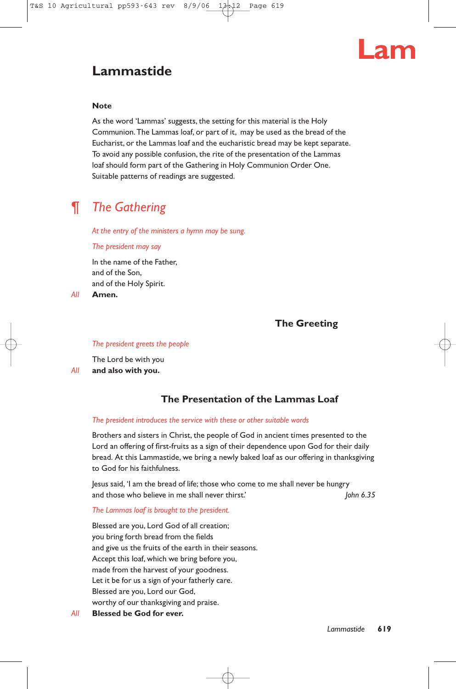

## **Lammastide**

#### **Note**

As the word 'Lammas' suggests, the setting for this material is the Holy Communion.The Lammas loaf, or part of it, may be used as the bread of the Eucharist, or the Lammas loaf and the eucharistic bread may be kept separate. To avoid any possible confusion, the rite of the presentation of the Lammas loaf should form part of the Gathering in Holy Communion Order One. Suitable patterns of readings are suggested.

## ¶ *The Gathering*

*At the entry of the ministers a hymn may be sung.*

#### *The president may say*

In the name of the Father, and of the Son, and of the Holy Spirit.

*All* **Amen.**

#### **The Greeting**

#### *The president greets the people*

The Lord be with you *All* **and also with you.**

#### **The Presentation of the Lammas Loaf**

#### *The president introduces the service with these or other suitable words*

Brothers and sisters in Christ, the people of God in ancient times presented to the Lord an offering of first-fruits as a sign of their dependence upon God for their daily bread. At this Lammastide, we bring a newly baked loaf as our offering in thanksgiving to God for his faithfulness.

Jesus said, 'I am the bread of life; those who come to me shall never be hungry and those who believe in me shall never thirst.' *John 6.35*

#### *The Lammas loaf is brought to the president.*

Blessed are you, Lord God of all creation; you bring forth bread from the fields and give us the fruits of the earth in their seasons. Accept this loaf, which we bring before you, made from the harvest of your goodness. Let it be for us a sign of your fatherly care. Blessed are you, Lord our God, worthy of our thanksgiving and praise.

*All* **Blessed be God for ever.**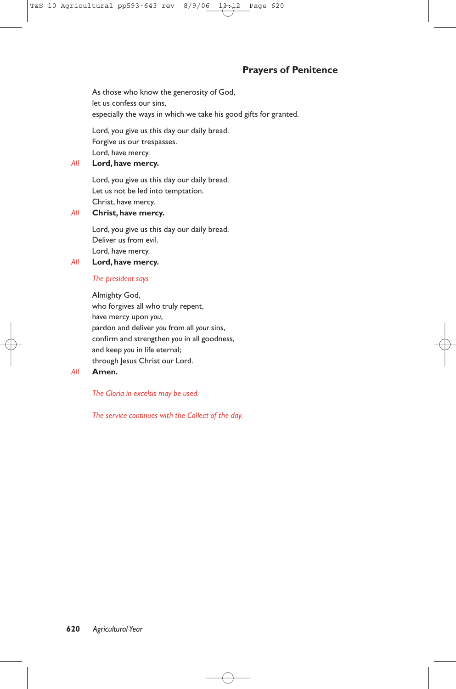#### **Prayers of Penitence**

As those who know the generosity of God, let us confess our sins, especially the ways in which we take his good gifts for granted.

Lord, you give us this day our daily bread. Forgive us our trespasses. Lord, have mercy.

#### *All* **Lord, have mercy.**

Lord, you give us this day our daily bread. Let us not be led into temptation. Christ, have mercy.

#### *All* **Christ, have mercy.**

Lord, you give us this day our daily bread. Deliver us from evil. Lord, have mercy.

*All* **Lord, have mercy.**

#### *The president says*

Almighty God, who forgives all who truly repent, have mercy upon *you*, pardon and deliver *you* from all *your* sins, confirm and strengthen *you* in all goodness, and keep *you* in life eternal; through Jesus Christ our Lord.

#### *All* **Amen.**

#### *The Gloria in excelsis may be used.*

*The service continues with the Collect of the day.*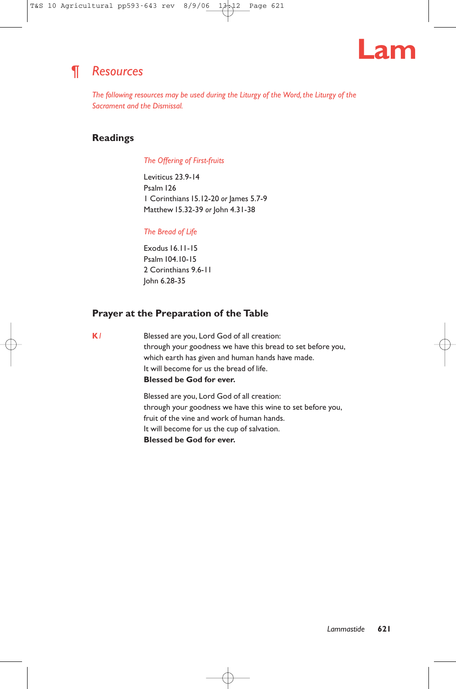

## ¶ *Resources*

*The following resources may be used during the Liturgy of the Word, the Liturgy of the Sacrament and the Dismissal.*

#### **Readings**

#### *The Offering of First-fruits*

Leviticus 23.9-14 Psalm 126 1 Corinthians 15.12-20 *or* James 5.7-9 Matthew 15.32-39 *or* John 4.31-38

#### *The Bread of Life*

Exodus 16.11-15 Psalm 104.10-15 2 Corinthians 9.6-11 John 6.28-35

#### **Prayer at the Preparation of the Table**

**K***1* Blessed are you, Lord God of all creation: through your goodness we have this bread to set before you, which earth has given and human hands have made. It will become for us the bread of life. **Blessed be God for ever.**

> Blessed are you, Lord God of all creation: through your goodness we have this wine to set before you, fruit of the vine and work of human hands. It will become for us the cup of salvation. **Blessed be God for ever.**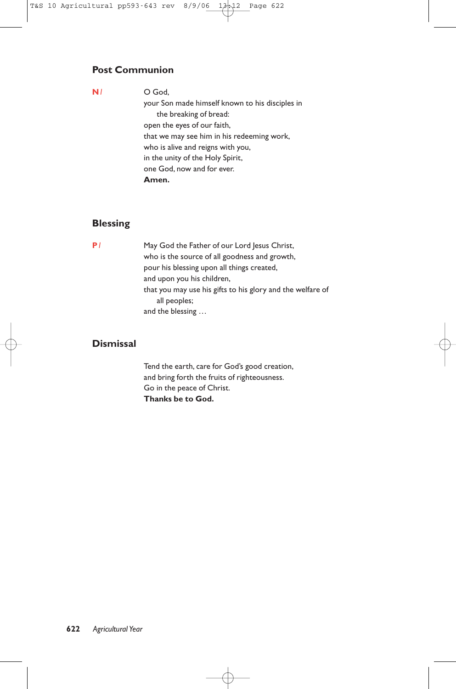#### **Post Communion**

**N***1* O God,

your Son made himself known to his disciples in the breaking of bread: open the eyes of our faith, that we may see him in his redeeming work, who is alive and reigns with you, in the unity of the Holy Spirit, one God, now and for ever. **Amen.**

#### **Blessing**

**P***1* May God the Father of our Lord Jesus Christ, who is the source of all goodness and growth, pour his blessing upon all things created, and upon you his children, that you may use his gifts to his glory and the welfare of all peoples; and the blessing …

#### **Dismissal**

Tend the earth, care for God's good creation, and bring forth the fruits of righteousness. Go in the peace of Christ. **Thanks be to God.**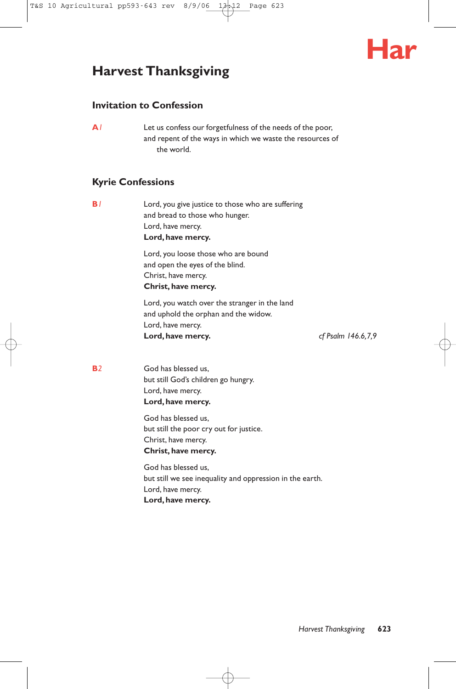

## **Harvest Thanksgiving**

#### **Invitation to Confession**

**A***1* Let us confess our forgetfulness of the needs of the poor, and repent of the ways in which we waste the resources of the world.

#### **Kyrie Confessions**

**B**<sup>1</sup> Lord, you give justice to those who are suffering and bread to those who hunger. Lord, have mercy. **Lord, have mercy.** Lord, you loose those who are bound and open the eyes of the blind. Christ, have mercy. **Christ, have mercy.** Lord, you watch over the stranger in the land and uphold the orphan and the widow.

Lord, have mercy. **Lord, have mercy.** *cf Psalm 146.6,7,9*

**B**<sup>2</sup> God has blessed us, but still God's children go hungry. Lord, have mercy. **Lord, have mercy.**

> God has blessed us, but still the poor cry out for justice. Christ, have mercy. **Christ, have mercy.**

God has blessed us, but still we see inequality and oppression in the earth. Lord, have mercy. **Lord, have mercy.**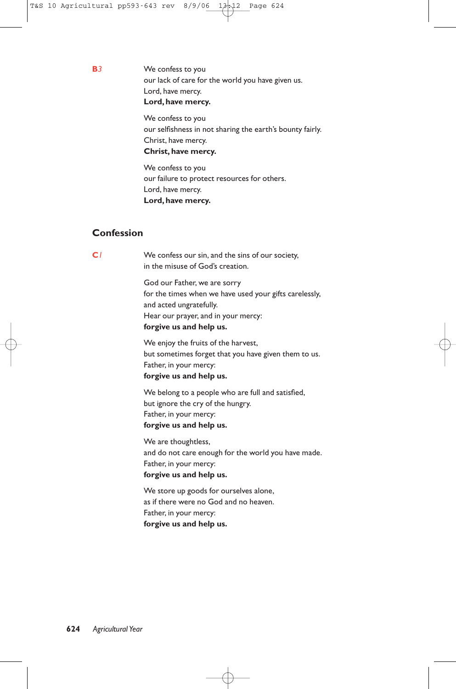**B***3* We confess to you our lack of care for the world you have given us. Lord, have mercy. **Lord, have mercy.**

> We confess to you our selfishness in not sharing the earth's bounty fairly. Christ, have mercy. **Christ, have mercy.**

We confess to you our failure to protect resources for others. Lord, have mercy. **Lord, have mercy.**

#### **Confession**

**C***1* We confess our sin, and the sins of our society, in the misuse of God's creation.

> God our Father, we are sorry for the times when we have used your gifts carelessly, and acted ungratefully. Hear our prayer, and in your mercy: **forgive us and help us.**

> We enjoy the fruits of the harvest, but sometimes forget that you have given them to us. Father, in your mercy: **forgive us and help us.**

We belong to a people who are full and satisfied, but ignore the cry of the hungry. Father, in your mercy: **forgive us and help us.**

We are thoughtless, and do not care enough for the world you have made. Father, in your mercy: **forgive us and help us.**

We store up goods for ourselves alone, as if there were no God and no heaven. Father, in your mercy: **forgive us and help us.**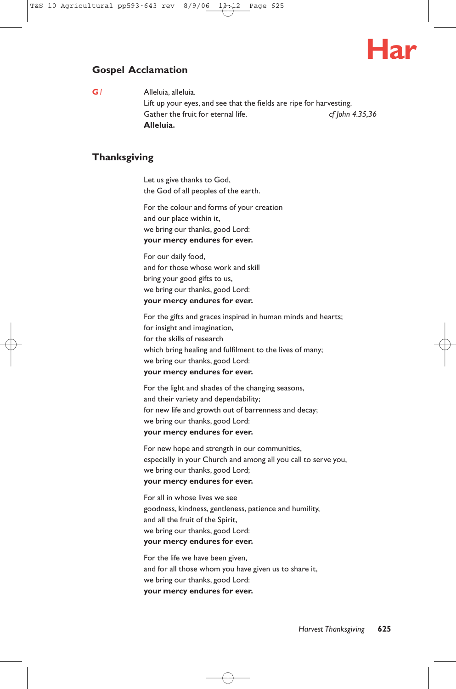

#### **Gospel Acclamation**

**G***1* Alleluia, alleluia. Lift up your eyes, and see that the fields are ripe for harvesting. Gather the fruit for eternal life. *cf John 4.35,36* **Alleluia.**

#### **Thanksgiving**

Let us give thanks to God, the God of all peoples of the earth.

For the colour and forms of your creation and our place within it, we bring our thanks, good Lord: **your mercy endures for ever.**

For our daily food, and for those whose work and skill bring your good gifts to us, we bring our thanks, good Lord: **your mercy endures for ever.**

For the gifts and graces inspired in human minds and hearts; for insight and imagination, for the skills of research which bring healing and fulfilment to the lives of many; we bring our thanks, good Lord: **your mercy endures for ever.**

For the light and shades of the changing seasons, and their variety and dependability; for new life and growth out of barrenness and decay; we bring our thanks, good Lord: **your mercy endures for ever.**

For new hope and strength in our communities, especially in your Church and among all you call to serve you, we bring our thanks, good Lord; **your mercy endures for ever.**

For all in whose lives we see goodness, kindness, gentleness, patience and humility, and all the fruit of the Spirit, we bring our thanks, good Lord: **your mercy endures for ever.**

For the life we have been given, and for all those whom you have given us to share it, we bring our thanks, good Lord: **your mercy endures for ever.**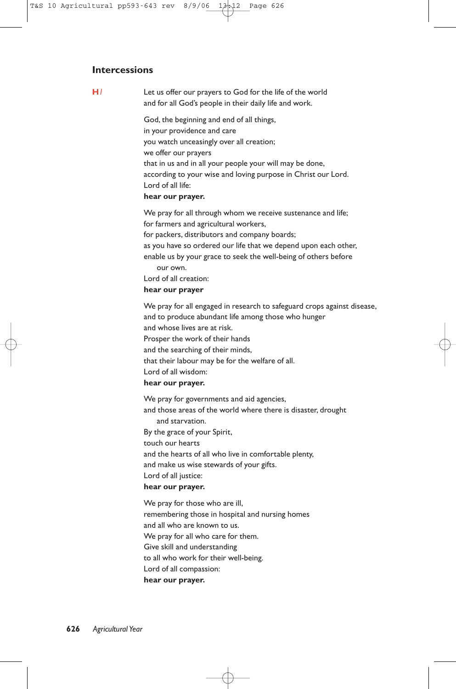#### **Intercessions**

**H***1* Let us offer our prayers to God for the life of the world and for all God's people in their daily life and work.

> God, the beginning and end of all things, in your providence and care you watch unceasingly over all creation; we offer our prayers that in us and in all your people your will may be done, according to your wise and loving purpose in Christ our Lord. Lord of all life:

#### **hear our prayer.**

We pray for all through whom we receive sustenance and life; for farmers and agricultural workers, for packers, distributors and company boards; as you have so ordered our life that we depend upon each other, enable us by your grace to seek the well-being of others before our own. Lord of all creation: **hear our prayer**

We pray for all engaged in research to safeguard crops against disease, and to produce abundant life among those who hunger and whose lives are at risk. Prosper the work of their hands and the searching of their minds, that their labour may be for the welfare of all. Lord of all wisdom: **hear our prayer.** We pray for governments and aid agencies,

and those areas of the world where there is disaster, drought and starvation. By the grace of your Spirit, touch our hearts and the hearts of all who live in comfortable plenty, and make us wise stewards of your gifts. Lord of all justice: **hear our prayer.**

We pray for those who are ill, remembering those in hospital and nursing homes and all who are known to us. We pray for all who care for them. Give skill and understanding to all who work for their well-being. Lord of all compassion: **hear our prayer.**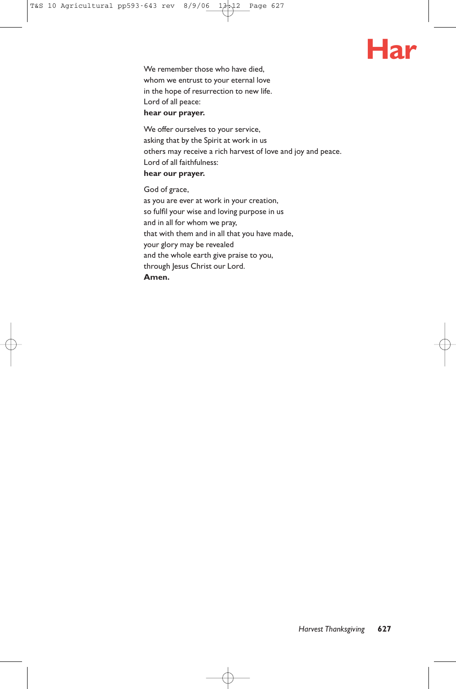

We remember those who have died, whom we entrust to your eternal love in the hope of resurrection to new life. Lord of all peace: **hear our prayer.**

We offer ourselves to your service, asking that by the Spirit at work in us others may receive a rich harvest of love and joy and peace. Lord of all faithfulness: **hear our prayer.**

God of grace,

as you are ever at work in your creation, so fulfil your wise and loving purpose in us and in all for whom we pray, that with them and in all that you have made, your glory may be revealed and the whole earth give praise to you, through Jesus Christ our Lord. **Amen.**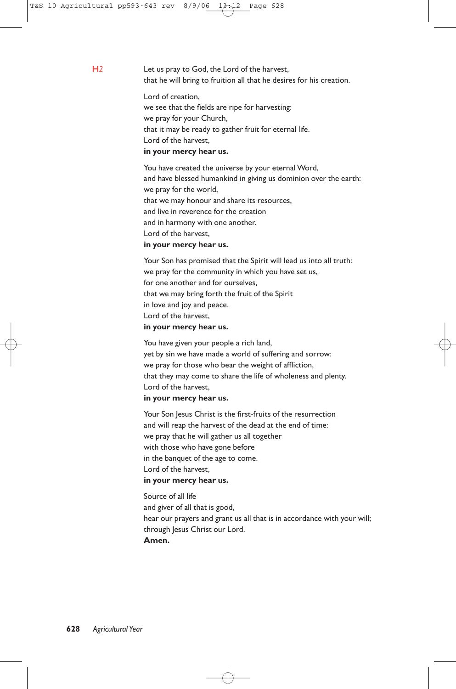**H***2* Let us pray to God, the Lord of the harvest, that he will bring to fruition all that he desires for his creation.

> Lord of creation, we see that the fields are ripe for harvesting: we pray for your Church, that it may be ready to gather fruit for eternal life. Lord of the harvest, **in your mercy hear us.**

You have created the universe by your eternal Word, and have blessed humankind in giving us dominion over the earth: we pray for the world, that we may honour and share its resources, and live in reverence for the creation and in harmony with one another. Lord of the harvest, **in your mercy hear us.**

Your Son has promised that the Spirit will lead us into all truth: we pray for the community in which you have set us, for one another and for ourselves, that we may bring forth the fruit of the Spirit in love and joy and peace. Lord of the harvest,

#### **in your mercy hear us.**

You have given your people a rich land, yet by sin we have made a world of suffering and sorrow: we pray for those who bear the weight of affliction, that they may come to share the life of wholeness and plenty. Lord of the harvest,

#### **in your mercy hear us.**

Your Son Jesus Christ is the first-fruits of the resurrection and will reap the harvest of the dead at the end of time: we pray that he will gather us all together with those who have gone before in the banquet of the age to come. Lord of the harvest, **in your mercy hear us.**

Source of all life and giver of all that is good, hear our prayers and grant us all that is in accordance with your will; through Jesus Christ our Lord. **Amen.**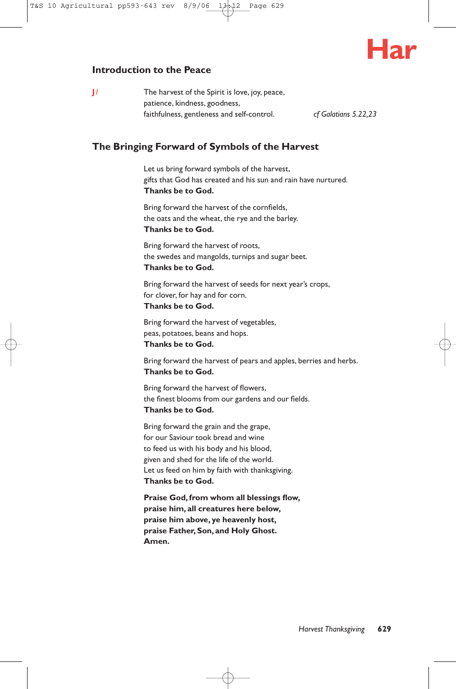

#### **Introduction to the Peace**

**J**<sup> $1$ </sup> The harvest of the Spirit is love, joy, peace, patience, kindness, goodness, faithfulness, gentleness and self-control. *cf Galatians 5.22,23*

#### **The Bringing Forward of Symbols of the Harvest**

Let us bring forward symbols of the harvest, gifts that God has created and his sun and rain have nurtured. **Thanks be to God.**

Bring forward the harvest of the cornfields, the oats and the wheat, the rye and the barley. **Thanks be to God.**

Bring forward the harvest of roots, the swedes and mangolds, turnips and sugar beet. **Thanks be to God.**

Bring forward the harvest of seeds for next year's crops, for clover, for hay and for corn. **Thanks be to God.**

Bring forward the harvest of vegetables, peas, potatoes, beans and hops. **Thanks be to God.**

Bring forward the harvest of pears and apples, berries and herbs. **Thanks be to God.**

Bring forward the harvest of flowers, the finest blooms from our gardens and our fields. **Thanks be to God.**

Bring forward the grain and the grape, for our Saviour took bread and wine to feed us with his body and his blood, given and shed for the life of the world. Let us feed on him by faith with thanksgiving. **Thanks be to God.**

**Praise God,from whom all blessings flow, praise him, all creatures here below, praise him above, ye heavenly host, praise Father,Son, and Holy Ghost. Amen.**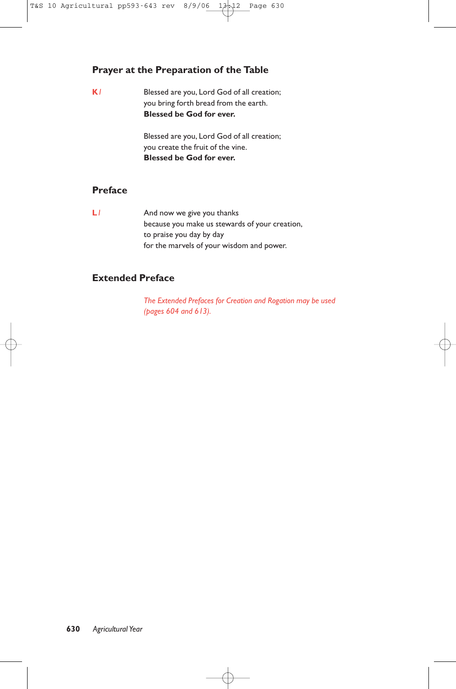#### **Prayer at the Preparation of the Table**

**K***1* Blessed are you, Lord God of all creation; you bring forth bread from the earth. **Blessed be God for ever.**

> Blessed are you, Lord God of all creation; you create the fruit of the vine. **Blessed be God for ever.**

#### **Preface**

**L***I* And now we give you thanks because you make us stewards of your creation, to praise you day by day for the marvels of your wisdom and power.

#### **Extended Preface**

*The Extended Prefaces for Creation and Rogation may be used (pages 604 and 613).*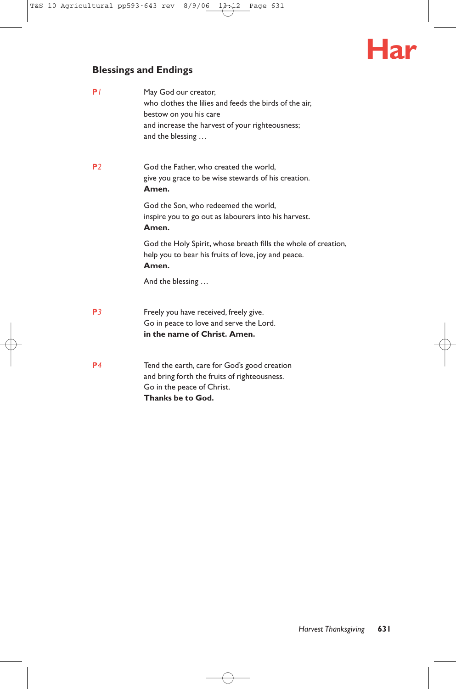# **Har**

## **Blessings and Endings**

| P/             | May God our creator,<br>who clothes the lilies and feeds the birds of the air.<br>bestow on you his care<br>and increase the harvest of your righteousness;<br>and the blessing |
|----------------|---------------------------------------------------------------------------------------------------------------------------------------------------------------------------------|
| P <sub>2</sub> | God the Father, who created the world,<br>give you grace to be wise stewards of his creation.<br>Amen.                                                                          |
|                | God the Son, who redeemed the world,<br>inspire you to go out as labourers into his harvest.<br>Amen.                                                                           |
|                | God the Holy Spirit, whose breath fills the whole of creation,<br>help you to bear his fruits of love, joy and peace.<br>Amen.                                                  |
|                | And the blessing                                                                                                                                                                |
| P <sub>3</sub> | Freely you have received, freely give.<br>Go in peace to love and serve the Lord.<br>in the name of Christ. Amen.                                                               |
| P4             | Tend the earth, care for God's good creation<br>and bring forth the fruits of righteousness.<br>Go in the peace of Christ.<br>Thanks be to God.                                 |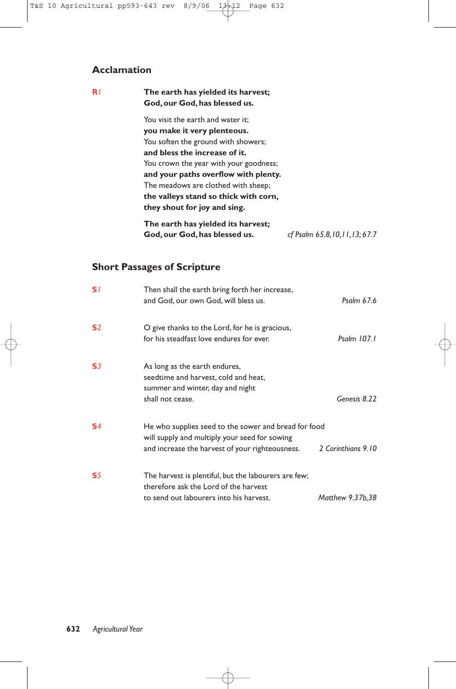#### **Acclamation**

#### **R***1* **The earth has yielded its harvest; God, our God, has blessed us.** You visit the earth and water it; **you make it very plenteous.** You soften the ground with showers; **and bless the increase of it.** You crown the year with your goodness; **and your paths overflow with plenty.** The meadows are clothed with sheep; **the valleys stand so thick with corn, they shout for joy and sing. The earth has yielded its harvest; God, our God, has blessed us.** *cf Psalm 65.8,10,11,13; 67.7*

#### **Short Passages of Scripture**

| S/             | Then shall the earth bring forth her increase,<br>and God, our own God, will bless us.                                                                   | Psalm 67.6         |
|----------------|----------------------------------------------------------------------------------------------------------------------------------------------------------|--------------------|
| S <sub>2</sub> | O give thanks to the Lord, for he is gracious,<br>for his steadfast love endures for ever.                                                               | Psalm 107.1        |
| S <sub>3</sub> | As long as the earth endures,<br>seedtime and harvest, cold and heat,<br>summer and winter, day and night<br>shall not cease.                            | Genesis 8.22       |
| S <sub>4</sub> | He who supplies seed to the sower and bread for food<br>will supply and multiply your seed for sowing<br>and increase the harvest of your righteousness. | 2 Corinthians 9.10 |
| S <sub>5</sub> | The harvest is plentiful, but the labourers are few;<br>therefore ask the Lord of the harvest<br>to send out labourers into his harvest.                 | Matthew 9.37b,38   |